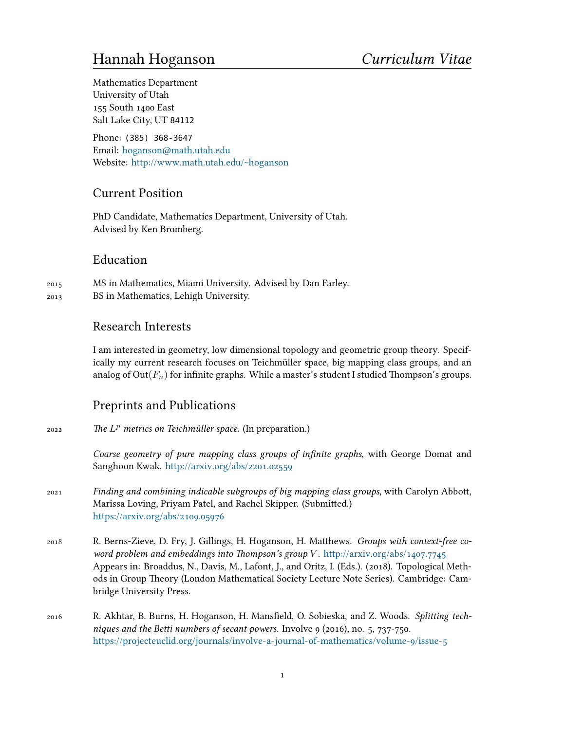# Hannah Hoganson *Curriculum Vitae*

Mathematics Department University of Utah 155 South 1400 East Salt Lake City, UT 84112

Phone: (385) 368-3647 Email: [hoganson@math.utah.edu](mailto:hoganson@math.utah.edu) Website: <http://www.math.utah.edu/~hoganson>

## Current Position

PhD Candidate, Mathematics Department, University of Utah. Advised by Ken Bromberg.

#### Education

- 2015 MS in Mathematics, Miami University. Advised by Dan Farley.
- 2013 BS in Mathematics, Lehigh University.

## Research Interests

I am interested in geometry, low dimensional topology and geometric group theory. Specifically my current research focuses on Teichmüller space, big mapping class groups, and an analog of  $Out(F_n)$  for infinite graphs. While a master's student I studied Thompson's groups.

## Preprints and Publications

2022 *The L <sup>p</sup> metrics on Teichmüller space.* (In preparation.)

*Coarse geometry of pure mapping class groups of infinite graphs*, with George Domat and Sanghoon Kwak. <http://arxiv.org/abs/2201.02559>

- 2021 *Finding and combining indicable subgroups of big mapping class groups*, with Carolyn Abbott, Marissa Loving, Priyam Patel, and Rachel Skipper. (Submitted.) <https://arxiv.org/abs/2109.05976>
- 2018 R. Berns-Zieve, D. Fry, J. Gillings, H. Hoganson, H. Matthews. *Groups with context-free coword problem and embeddings into Thompson's group V* . <http://arxiv.org/abs/1407.7745> Appears in: Broaddus, N., Davis, M., Lafont, J., and Oritz, I. (Eds.). (2018). Topological Methods in Group Theory (London Mathematical Society Lecture Note Series). Cambridge: Cambridge University Press.
- 2016 R. Akhtar, B. Burns, H. Hoganson, H. Mansfield, O. Sobieska, and Z. Woods. *Splitting techniques and the Betti numbers of secant powers*. Involve 9 (2016), no. 5, 737-750. <https://projecteuclid.org/journals/involve-a-journal-of-mathematics/volume-9/issue-5>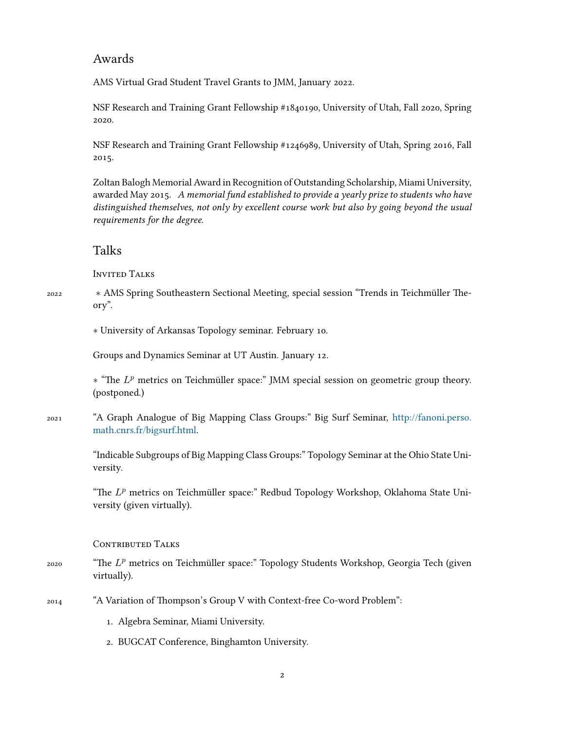#### Awards

AMS Virtual Grad Student Travel Grants to JMM, January 2022.

NSF Research and Training Grant Fellowship #1840190, University of Utah, Fall 2020, Spring 2020.

NSF Research and Training Grant Fellowship #1246989, University of Utah, Spring 2016, Fall 2015.

Zoltan Balogh Memorial Award in Recognition of Outstanding Scholarship, Miami University, awarded May 2015. *A memorial fund established to provide a yearly prize to students who have distinguished themselves, not only by excellent course work but also by going beyond the usual requirements for the degree.*

#### Talks

Invited Talks

<sup>2022</sup> *∗* AMS Spring Southeastern Sectional Meeting, special session "Trends in Teichmüller Theory".

*∗* University of Arkansas Topology seminar. February 10.

Groups and Dynamics Seminar at UT Austin. January 12.

*∗* "The *L <sup>p</sup>* metrics on Teichmüller space:" JMM special session on geometric group theory. (postponed.)

2021 "A Graph Analogue of Big Mapping Class Groups:" Big Surf Seminar, [http://fanoni.perso.](http://fanoni.perso.math.cnrs.fr/bigsurf.html) [math.cnrs.fr/bigsurf.html.](http://fanoni.perso.math.cnrs.fr/bigsurf.html)

> "Indicable Subgroups of Big Mapping Class Groups:" Topology Seminar at the Ohio State University.

> "The L<sup>p</sup> metrics on Teichmüller space:" Redbud Topology Workshop, Oklahoma State University (given virtually).

CONTRIBUTED TALKS

- 2020 "The *L <sup>p</sup>* metrics on Teichmüller space:" Topology Students Workshop, Georgia Tech (given virtually).
- 2014 "A Variation of Thompson's Group V with Context-free Co-word Problem":
	- 1. Algebra Seminar, Miami University.
	- 2. BUGCAT Conference, Binghamton University.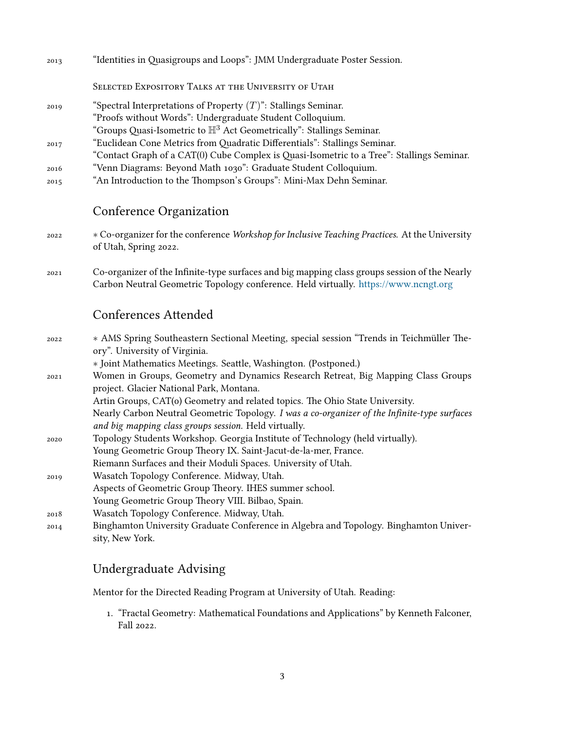| 2013 | "Identities in Quasigroups and Loops": JMM Undergraduate Poster Session.                  |
|------|-------------------------------------------------------------------------------------------|
|      | SELECTED EXPOSITORY TALKS AT THE UNIVERSITY OF UTAH                                       |
| 2019 | "Spectral Interpretations of Property $(T)$ ": Stallings Seminar.                         |
|      | "Proofs without Words": Undergraduate Student Colloquium.                                 |
|      | "Groups Quasi-Isometric to $\mathbb{H}^3$ Act Geometrically": Stallings Seminar.          |
| 2017 | "Euclidean Cone Metrics from Quadratic Differentials": Stallings Seminar.                 |
|      | "Contact Graph of a CAT(0) Cube Complex is Quasi-Isometric to a Tree": Stallings Seminar. |
| 2016 | "Venn Diagrams: Beyond Math 1030": Graduate Student Colloquium.                           |
| 2015 | "An Introduction to the Thompson's Groups": Mini-Max Dehn Seminar.                        |

# Conference Organization

<sup>2022</sup> *∗* Co-organizer for the conference *Workshop for Inclusive Teaching Practices.* At the University of Utah, Spring 2022.

2021 Co-organizer of the Infinite-type surfaces and big mapping class groups session of the Nearly Carbon Neutral Geometric Topology conference. Held virtually. <https://www.ncngt.org>

## Conferences Attended

| * AMS Spring Southeastern Sectional Meeting, special session "Trends in Teichmüller The-     |
|----------------------------------------------------------------------------------------------|
| ory". University of Virginia.                                                                |
| * Joint Mathematics Meetings. Seattle, Washington. (Postponed.)                              |
| Women in Groups, Geometry and Dynamics Research Retreat, Big Mapping Class Groups            |
| project. Glacier National Park, Montana.                                                     |
| Artin Groups, CAT(o) Geometry and related topics. The Ohio State University.                 |
| Nearly Carbon Neutral Geometric Topology. I was a co-organizer of the Infinite-type surfaces |
| and big mapping class groups session. Held virtually.                                        |
| Topology Students Workshop. Georgia Institute of Technology (held virtually).                |
| Young Geometric Group Theory IX. Saint-Jacut-de-la-mer, France.                              |
| Riemann Surfaces and their Moduli Spaces. University of Utah.                                |
| Wasatch Topology Conference. Midway, Utah.                                                   |
| Aspects of Geometric Group Theory. IHES summer school.                                       |
| Young Geometric Group Theory VIII. Bilbao, Spain.                                            |
| Wasatch Topology Conference. Midway, Utah.                                                   |
| Binghamton University Graduate Conference in Algebra and Topology. Binghamton Univer-        |
| sity, New York.                                                                              |
|                                                                                              |

# Undergraduate Advising

Mentor for the Directed Reading Program at University of Utah. Reading:

1. "Fractal Geometry: Mathematical Foundations and Applications" by Kenneth Falconer, Fall 2022.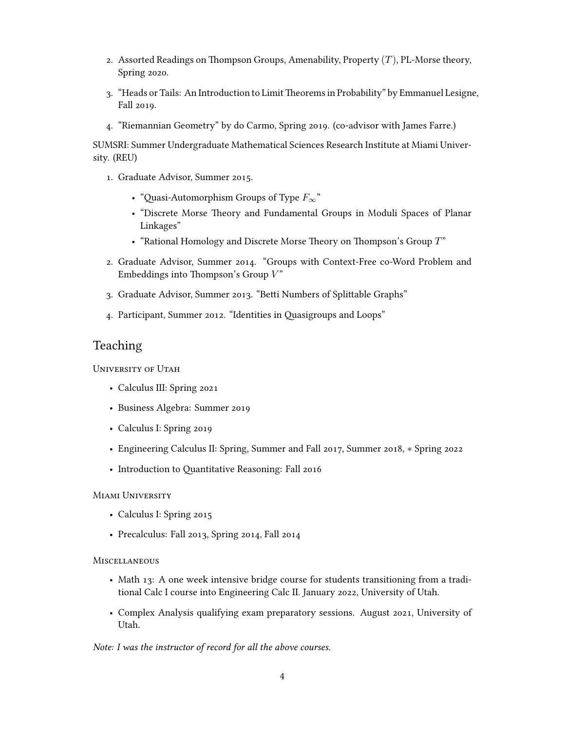- 2. Assorted Readings on Thompson Groups, Amenability, Property (*T*), PL-Morse theory, Spring 2020.
- 3. "Heads or Tails: An Introduction to LimitTheorems in Probability" by Emmanuel Lesigne, Fall 2019.
- 4. "Riemannian Geometry" by do Carmo, Spring 2019. (co-advisor with James Farre.)

SUMSRI: Summer Undergraduate Mathematical Sciences Research Institute at Miami University. (REU)

- 1. Graduate Advisor, Summer 2015.
	- "Quasi-Automorphism Groups of Type *F∞*"
	- "Discrete Morse Theory and Fundamental Groups in Moduli Spaces of Planar Linkages"
	- "Rational Homology and Discrete Morse Theory on Thompson's Group *T*"
- 2. Graduate Advisor, Summer 2014. "Groups with Context-Free co-Word Problem and Embeddings into Thompson's Group *V* "
- 3. Graduate Advisor, Summer 2013. "Betti Numbers of Splittable Graphs"
- 4. Participant, Summer 2012. "Identities in Quasigroups and Loops"

#### Teaching

University of Utah

- Calculus III: Spring 2021
- Business Algebra: Summer 2019
- Calculus I: Spring 2019
- Engineering Calculus II: Spring, Summer and Fall 2017, Summer 2018, *∗* Spring 2022
- Introduction to Quantitative Reasoning: Fall 2016

#### Miami University

- Calculus I: Spring 2015
- Precalculus: Fall 2013, Spring 2014, Fall 2014

#### **MISCELLANEOUS**

- Math 13: A one week intensive bridge course for students transitioning from a traditional Calc I course into Engineering Calc II. January 2022, University of Utah.
- Complex Analysis qualifying exam preparatory sessions. August 2021, University of Utah.

*Note: I was the instructor of record for all the above courses.*